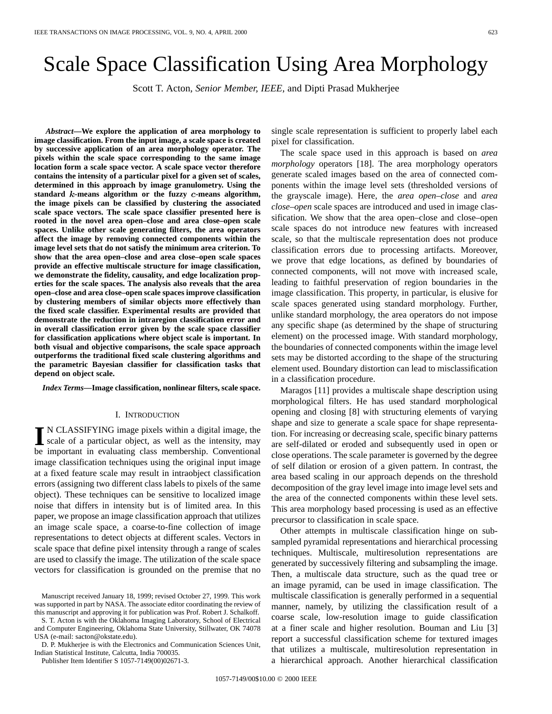# Scale Space Classification Using Area Morphology

Scott T. Acton*, Senior Member, IEEE,* and Dipti Prasad Mukherjee

*Abstract—***We explore the application of area morphology to image classification. From the input image, a scale space is created by successive application of an area morphology operator. The pixels within the scale space corresponding to the same image location form a scale space vector. A scale space vector therefore contains the intensity of a particular pixel for a given set of scales, determined in this approach by image granulometry. Using the** standard *k*-means algorithm or the fuzzy *c*-means algorithm, **the image pixels can be classified by clustering the associated scale space vectors. The scale space classifier presented here is rooted in the novel area open–close and area close–open scale spaces. Unlike other scale generating filters, the area operators affect the image by removing connected components within the image level sets that do not satisfy the minimum area criterion. To show that the area open–close and area close–open scale spaces provide an effective multiscale structure for image classification, we demonstrate the fidelity, causality, and edge localization properties for the scale spaces. The analysis also reveals that the area open–close and area close–open scale spaces improve classification by clustering members of similar objects more effectively than the fixed scale classifier. Experimental results are provided that demonstrate the reduction in intraregion classification error and in overall classification error given by the scale space classifier for classification applications where object scale is important. In both visual and objective comparisons, the scale space approach outperforms the traditional fixed scale clustering algorithms and the parametric Bayesian classifier for classification tasks that depend on object scale.**

*Index Terms—***Image classification, nonlinear filters, scale space.**

#### I. INTRODUCTION

I N CLASSIFYING image pixels within a digital image, the scale of a particular object, as well as the intensity, may be important in evolucing close membership. Convertional be important in evaluating class membership. Conventional image classification techniques using the original input image at a fixed feature scale may result in intraobject classification errors (assigning two different class labels to pixels of the same object). These techniques can be sensitive to localized image noise that differs in intensity but is of limited area. In this paper, we propose an image classification approach that utilizes an image scale space, a coarse-to-fine collection of image representations to detect objects at different scales. Vectors in scale space that define pixel intensity through a range of scales are used to classify the image. The utilization of the scale space vectors for classification is grounded on the premise that no

S. T. Acton is with the Oklahoma Imaging Laboratory, School of Electrical and Computer Engineering, Oklahoma State University, Stillwater, OK 74078 USA (e-mail: sacton@okstate.edu).

D. P. Mukherjee is with the Electronics and Communication Sciences Unit, Indian Statistical Institute, Calcutta, India 700035.

Publisher Item Identifier S 1057-7149(00)02671-3.

single scale representation is sufficient to properly label each pixel for classification.

The scale space used in this approach is based on *area morphology* operators [18]. The area morphology operators generate scaled images based on the area of connected components within the image level sets (thresholded versions of the grayscale image). Here, the *area open–close* and *area close–open* scale spaces are introduced and used in image classification. We show that the area open–close and close–open scale spaces do not introduce new features with increased scale, so that the multiscale representation does not produce classification errors due to processing artifacts. Moreover, we prove that edge locations, as defined by boundaries of connected components, will not move with increased scale, leading to faithful preservation of region boundaries in the image classification. This property, in particular, is elusive for scale spaces generated using standard morphology. Further, unlike standard morphology, the area operators do not impose any specific shape (as determined by the shape of structuring element) on the processed image. With standard morphology, the boundaries of connected components within the image level sets may be distorted according to the shape of the structuring element used. Boundary distortion can lead to misclassification in a classification procedure.

Maragos [11] provides a multiscale shape description using morphological filters. He has used standard morphological opening and closing [8] with structuring elements of varying shape and size to generate a scale space for shape representation. For increasing or decreasing scale, specific binary patterns are self-dilated or eroded and subsequently used in open or close operations. The scale parameter is governed by the degree of self dilation or erosion of a given pattern. In contrast, the area based scaling in our approach depends on the threshold decomposition of the gray level image into image level sets and the area of the connected components within these level sets. This area morphology based processing is used as an effective precursor to classification in scale space.

Other attempts in multiscale classification hinge on subsampled pyramidal representations and hierarchical processing techniques. Multiscale, multiresolution representations are generated by successively filtering and subsampling the image. Then, a multiscale data structure, such as the quad tree or an image pyramid, can be used in image classification. The multiscale classification is generally performed in a sequential manner, namely, by utilizing the classification result of a coarse scale, low-resolution image to guide classification at a finer scale and higher resolution. Bouman and Liu [3] report a successful classification scheme for textured images that utilizes a multiscale, multiresolution representation in a hierarchical approach. Another hierarchical classification

Manuscript received January 18, 1999; revised October 27, 1999. This work was supported in part by NASA. The associate editor coordinating the review of this manuscript and approving it for publication was Prof. Robert J. Schalkoff.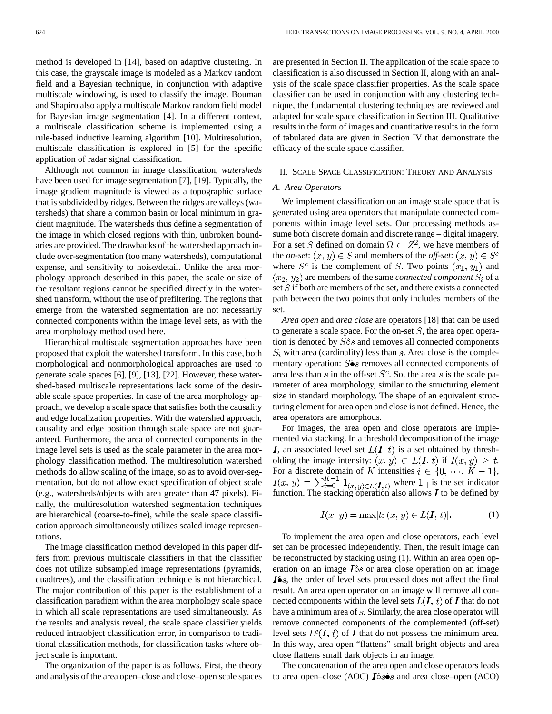method is developed in [14], based on adaptive clustering. In this case, the grayscale image is modeled as a Markov random field and a Bayesian technique, in conjunction with adaptive multiscale windowing, is used to classify the image. Bouman and Shapiro also apply a multiscale Markov random field model for Bayesian image segmentation [4]. In a different context, a multiscale classification scheme is implemented using a rule-based inductive learning algorithm [10]. Multiresolution, multiscale classification is explored in [5] for the specific application of radar signal classification.

Although not common in image classification, *watersheds* have been used for image segmentation [7], [19]. Typically, the image gradient magnitude is viewed as a topographic surface that is subdivided by ridges. Between the ridges are valleys (watersheds) that share a common basin or local minimum in gradient magnitude. The watersheds thus define a segmentation of the image in which closed regions with thin, unbroken boundaries are provided. The drawbacks of the watershed approach include over-segmentation (too many watersheds), computational expense, and sensitivity to noise/detail. Unlike the area morphology approach described in this paper, the scale or size of the resultant regions cannot be specified directly in the watershed transform, without the use of prefiltering. The regions that emerge from the watershed segmentation are not necessarily connected components within the image level sets, as with the area morphology method used here.

Hierarchical multiscale segmentation approaches have been proposed that exploit the watershed transform. In this case, both morphological and nonmorphological approaches are used to generate scale spaces [6], [9], [13], [22]. However, these watershed-based multiscale representations lack some of the desirable scale space properties. In case of the area morphology approach, we develop a scale space that satisfies both the causality and edge localization properties. With the watershed approach, causality and edge position through scale space are not guaranteed. Furthermore, the area of connected components in the image level sets is used as the scale parameter in the area morphology classification method. The multiresolution watershed methods do allow scaling of the image, so as to avoid over-segmentation, but do not allow exact specification of object scale (e.g., watersheds/objects with area greater than 47 pixels). Finally, the multiresolution watershed segmentation techniques are hierarchical (coarse-to-fine), while the scale space classification approach simultaneously utilizes scaled image representations.

The image classification method developed in this paper differs from previous multiscale classifiers in that the classifier does not utilize subsampled image representations (pyramids, quadtrees), and the classification technique is not hierarchical. The major contribution of this paper is the establishment of a classification paradigm within the area morphology scale space in which all scale representations are used simultaneously. As the results and analysis reveal, the scale space classifier yields reduced intraobject classification error, in comparison to traditional classification methods, for classification tasks where object scale is important.

The organization of the paper is as follows. First, the theory and analysis of the area open–close and close–open scale spaces are presented in Section II. The application of the scale space to classification is also discussed in Section II, along with an analysis of the scale space classifier properties. As the scale space classifier can be used in conjunction with any clustering technique, the fundamental clustering techniques are reviewed and adapted for scale space classification in Section III. Qualitative results in the form of images and quantitative results in the form of tabulated data are given in Section IV that demonstrate the efficacy of the scale space classifier.

# II. SCALE SPACE CLASSIFICATION: THEORY AND ANALYSIS

# *A. Area Operators*

We implement classification on an image scale space that is generated using area operators that manipulate connected components within image level sets. Our processing methods assume both discrete domain and discrete range – digital imagery. For a set S defined on domain  $\Omega \subset Z^2$ , we have members of the *on-set*:  $(x, y) \in S$  and members of the *off-set*:  $(x, y) \in S^c$ where  $S^c$  is the complement of S. Two points  $(x_1, y_1)$  and  $(x_2, y_2)$  are members of the same *connected component*  $S_i$  of a set  $S$  if both are members of the set, and there exists a connected path between the two points that only includes members of the set.

*Area open* and *area close* are operators [18] that can be used to generate a scale space. For the on-set  $S$ , the area open operation is denoted by  $S\hat{\in} s$  and removes all connected components  $S_i$  with area (cardinality) less than s. Area close is the complementary operation:  $S\hat{\bullet} s$  removes all connected components of area less than  $s$  in the off-set  $S<sup>c</sup>$ . So, the area  $s$  is the scale parameter of area morphology, similar to the structuring element size in standard morphology. The shape of an equivalent structuring element for area open and close is not defined. Hence, the area operators are amorphous.

For images, the area open and close operators are implemented via stacking. In a threshold decomposition of the image I, an associated level set  $L(I, t)$  is a set obtained by thresholding the image intensity:  $(x, y) \in L(I, t)$  if  $I(x, y) \geq t$ . For a discrete domain of K intensities  $i \in \{0, \dots, K-1\},$ where  $1_{\lceil}$  is the set indicator function. The stacking operation also allows  $\boldsymbol{I}$  to be defined by

$$
I(x, y) = \max[t: (x, y) \in L(\mathbf{I}, t)].
$$
 (1)

To implement the area open and close operators, each level set can be processed independently. Then, the result image can be reconstructed by stacking using (1). Within an area open operation on an image  $I\hat{\in}$  or area close operation on an image  $\hat{I}\hat{\bullet}$ s, the order of level sets processed does not affect the final result. An area open operator on an image will remove all connected components within the level sets  $L(I, t)$  of I that do not have a minimum area of s. Similarly, the area close operator will remove connected components of the complemented (off-set) level sets  $L^{c}(\mathbf{I}, t)$  of  $\mathbf{I}$  that do not possess the minimum area. In this way, area open "flattens" small bright objects and area close flattens small dark objects in an image.

The concatenation of the area open and close operators leads to area open–close (AOC)  $I\hat{\circ}s\hat{\bullet}s$  and area close–open (ACO)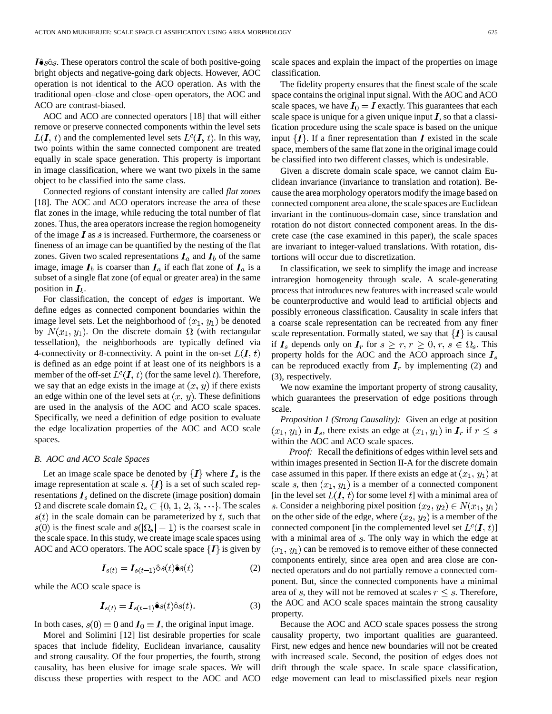$\hat{\textbf{I}}$   $\hat{\textbf{s}}$   $\hat{\textbf{s}}$ . These operators control the scale of both positive-going bright objects and negative-going dark objects. However, AOC operation is not identical to the ACO operation. As with the traditional open–close and close–open operators, the AOC and ACO are contrast-biased.

AOC and ACO are connected operators [18] that will either remove or preserve connected components within the level sets  $L(I, t)$  and the complemented level sets  $L^{c}(I, t)$ . In this way, two points within the same connected component are treated equally in scale space generation. This property is important in image classification, where we want two pixels in the same object to be classified into the same class.

Connected regions of constant intensity are called *flat zones* [18]. The AOC and ACO operators increase the area of these flat zones in the image, while reducing the total number of flat zones. Thus, the area operators increase the region homogeneity of the image  $\boldsymbol{I}$  as s is increased. Furthermore, the coarseness or fineness of an image can be quantified by the nesting of the flat zones. Given two scaled representations  $I_a$  and  $I_b$  of the same image, image  $I_b$  is coarser than  $I_a$  if each flat zone of  $I_a$  is a subset of a single flat zone (of equal or greater area) in the same position in  $I_b$ .

For classification, the concept of *edges* is important. We define edges as connected component boundaries within the image level sets. Let the neighborhood of  $(x_1, y_1)$  be denoted by  $N(x_1, y_1)$ . On the discrete domain  $\Omega$  (with rectangular tessellation), the neighborhoods are typically defined via 4-connectivity or 8-connectivity. A point in the on-set  $L(I, t)$ is defined as an edge point if at least one of its neighbors is a member of the off-set  $L^{c}(\mathbf{I}, t)$  (for the same level t). Therefore, we say that an edge exists in the image at  $(x, y)$  if there exists an edge within one of the level sets at  $(x, y)$ . These definitions are used in the analysis of the AOC and ACO scale spaces. Specifically, we need a definition of edge position to evaluate the edge localization properties of the AOC and ACO scale spaces.

#### *B. AOC and ACO Scale Spaces*

Let an image scale space be denoted by  $\{I\}$  where  $I_s$  is the image representation at scale s.  $\{I\}$  is a set of such scaled representations  $I_s$  defined on the discrete (image position) domain  $\Omega$  and discrete scale domain  $\Omega_s \subset \{0, 1, 2, 3, \cdots\}$ . The scales  $s(t)$  in the scale domain can be parameterized by t, such that  $s(0)$  is the finest scale and  $s(\vert \Omega_s \vert - 1)$  is the coarsest scale in the scale space. In this study, we create image scale spaces using AOC and ACO operators. The AOC scale space  $\{I\}$  is given by

$$
I_{s(t)} = I_{s(t-1)} \hat{\circ} s(t) \hat{\bullet} s(t) \tag{2}
$$

while the ACO scale space is

$$
I_{s(t)} = I_{s(t-1)} \hat{\bullet} s(t) \hat{\circ} s(t). \tag{3}
$$

In both cases,  $s(0) = 0$  and  $I_0 = I$ , the original input image.

Morel and Solimini [12] list desirable properties for scale spaces that include fidelity, Euclidean invariance, causality and strong causality. Of the four properties, the fourth, strong causality, has been elusive for image scale spaces. We will discuss these properties with respect to the AOC and ACO scale spaces and explain the impact of the properties on image classification.

The fidelity property ensures that the finest scale of the scale space contains the original input signal. With the AOC and ACO scale spaces, we have  $I_0 = I$  exactly. This guarantees that each scale space is unique for a given unique input  $I$ , so that a classification procedure using the scale space is based on the unique input  $\{I\}$ . If a finer representation than I existed in the scale space, members of the same flat zone in the original image could be classified into two different classes, which is undesirable.

Given a discrete domain scale space, we cannot claim Euclidean invariance (invariance to translation and rotation). Because the area morphology operators modify the image based on connected component area alone, the scale spaces are Euclidean invariant in the continuous-domain case, since translation and rotation do not distort connected component areas. In the discrete case (the case examined in this paper), the scale spaces are invariant to integer-valued translations. With rotation, distortions will occur due to discretization.

In classification, we seek to simplify the image and increase intraregion homogeneity through scale. A scale-generating process that introduces new features with increased scale would be counterproductive and would lead to artificial objects and possibly erroneous classification. Causality in scale infers that a coarse scale representation can be recreated from any finer scale representation. Formally stated, we say that  $\{I\}$  is causal if  $I_s$  depends only on  $I_r$  for  $s \geq r, r \geq 0, r, s \in \Omega_s$ . This property holds for the AOC and the ACO approach since  $I_s$ can be reproduced exactly from  $I_r$  by implementing (2) and (3), respectively.

We now examine the important property of strong causality, which guarantees the preservation of edge positions through scale.

*Proposition 1 (Strong Causality):* Given an edge at position  $(x_1, y_1)$  in  $I_s$ , there exists an edge at  $(x_1, y_1)$  in  $I_r$  if  $r \leq s$ within the AOC and ACO scale spaces.

*Proof:* Recall the definitions of edges within level sets and within images presented in Section II-A for the discrete domain case assumed in this paper. If there exists an edge at  $(x_1, y_1)$  at scale s, then  $(x_1, y_1)$  is a member of a connected component [in the level set  $L(I, t)$  for some level t] with a minimal area of s. Consider a neighboring pixel position  $(x_2, y_2) \in N(x_1, y_1)$ on the other side of the edge, where  $(x_2, y_2)$  is a member of the connected component [in the complemented level set  $L^c(I, t)$ ] with a minimal area of  $s$ . The only way in which the edge at  $(x_1, y_1)$  can be removed is to remove either of these connected components entirely, since area open and area close are connected operators and do not partially remove a connected component. But, since the connected components have a minimal area of s, they will not be removed at scales  $r \leq s$ . Therefore, the AOC and ACO scale spaces maintain the strong causality property.

Because the AOC and ACO scale spaces possess the strong causality property, two important qualities are guaranteed. First, new edges and hence new boundaries will not be created with increased scale. Second, the position of edges does not drift through the scale space. In scale space classification, edge movement can lead to misclassified pixels near region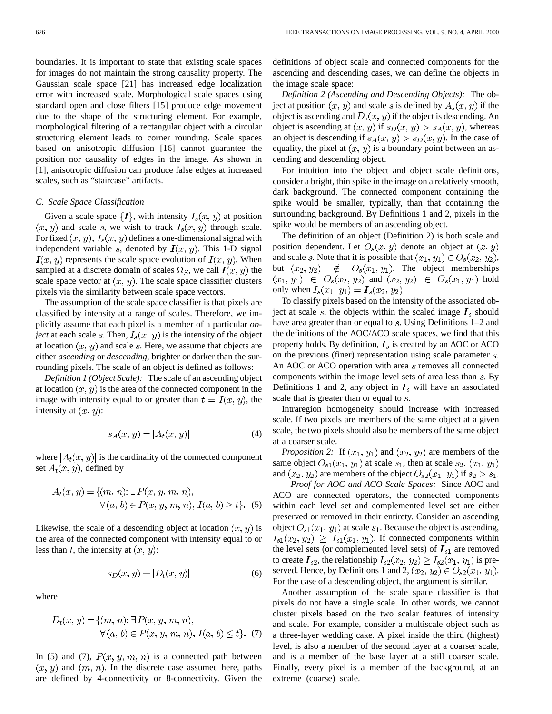boundaries. It is important to state that existing scale spaces for images do not maintain the strong causality property. The Gaussian scale space [21] has increased edge localization error with increased scale. Morphological scale spaces using standard open and close filters [15] produce edge movement due to the shape of the structuring element. For example, morphological filtering of a rectangular object with a circular structuring element leads to corner rounding. Scale spaces based on anisotropic diffusion [16] cannot guarantee the position nor causality of edges in the image. As shown in [1], anisotropic diffusion can produce false edges at increased scales, such as "staircase" artifacts.

# *C. Scale Space Classification*

Given a scale space  $\{I\}$ , with intensity  $I_s(x, y)$  at position  $(x, y)$  and scale s, we wish to track  $I_s(x, y)$  through scale. For fixed  $(x, y)$ ,  $I_s(x, y)$  defines a one-dimensional signal with independent variable s, denoted by  $I(x, y)$ . This 1-D signal  $I(x, y)$  represents the scale space evolution of  $I(x, y)$ . When sampled at a discrete domain of scales  $\Omega_S$ , we call  $\mathbf{I}(x, y)$  the scale space vector at  $(x, y)$ . The scale space classifier clusters pixels via the similarity between scale space vectors.

The assumption of the scale space classifier is that pixels are classified by intensity at a range of scales. Therefore, we implicitly assume that each pixel is a member of a particular *object* at each scale s. Then,  $I_s(x, y)$  is the intensity of the object at location  $(x, y)$  and scale s. Here, we assume that objects are either *ascending* or *descending*, brighter or darker than the surrounding pixels. The scale of an object is defined as follows:

*Definition 1 (Object Scale):* The scale of an ascending object at location  $(x, y)$  is the area of the connected component in the image with intensity equal to or greater than  $t = I(x, y)$ , the intensity at  $(x, y)$ :

$$
s_A(x, y) = |A_t(x, y)| \tag{4}
$$

where  $|A_t(x, y)|$  is the cardinality of the connected component set  $A_t(x, y)$ , defined by

$$
A_t(x, y) = \{(m, n): \exists P(x, y, m, n),
$$
  

$$
\forall (a, b) \in P(x, y, m, n), I(a, b) \ge t\}.
$$
 (5)

Likewise, the scale of a descending object at location  $(x, y)$  is the area of the connected component with intensity equal to or less than t, the intensity at  $(x, y)$ :

$$
s_D(x, y) = |D_t(x, y)| \tag{6}
$$

where

$$
D_t(x, y) = \{(m, n): \exists P(x, y, m, n),
$$
  

$$
\forall (a, b) \in P(x, y, m, n), I(a, b) \le t\}.
$$
 (7)

In (5) and (7),  $P(x, y, m, n)$  is a connected path between  $(x, y)$  and  $(m, n)$ . In the discrete case assumed here, paths are defined by 4-connectivity or 8-connectivity. Given the definitions of object scale and connected components for the ascending and descending cases, we can define the objects in the image scale space:

*Definition 2 (Ascending and Descending Objects):* The object at position  $(x, y)$  and scale s is defined by  $A_s(x, y)$  if the object is ascending and  $D_s(x, y)$  if the object is descending. An object is ascending at  $(x, y)$  if  $s_D(x, y) > s_A(x, y)$ , whereas an object is descending if  $s_A(x, y) > s_D(x, y)$ . In the case of equality, the pixel at  $(x, y)$  is a boundary point between an ascending and descending object.

For intuition into the object and object scale definitions, consider a bright, thin spike in the image on a relatively smooth, dark background. The connected component containing the spike would be smaller, typically, than that containing the surrounding background. By Definitions 1 and 2, pixels in the spike would be members of an ascending object.

The definition of an object (Definition 2) is both scale and position dependent. Let  $O_s(x, y)$  denote an object at  $(x, y)$ and scale s. Note that it is possible that  $(x_1, y_1) \in O_s(x_2, y_2)$ , but  $(x_2, y_2) \notin O_s(x_1, y_1)$ . The object memberships  $(x_1, y_1) \in O_s(x_2, y_2)$  and  $(x_2, y_2) \in O_s(x_1, y_1)$  hold only when  $I_s(x_1, y_1) = I_s(x_2, y_2)$ .

To classify pixels based on the intensity of the associated object at scale s, the objects within the scaled image  $I_s$  should have area greater than or equal to  $s$ . Using Definitions 1–2 and the definitions of the AOC/ACO scale spaces, we find that this property holds. By definition,  $I_s$  is created by an AOC or ACO on the previous (finer) representation using scale parameter s. An AOC or ACO operation with area  $s$  removes all connected components within the image level sets of area less than  $s$ . By Definitions 1 and 2, any object in  $I<sub>s</sub>$  will have an associated scale that is greater than or equal to s.

Intraregion homogeneity should increase with increased scale. If two pixels are members of the same object at a given scale, the two pixels should also be members of the same object at a coarser scale.

*Proposition 2:* If  $(x_1, y_1)$  and  $(x_2, y_2)$  are members of the same object  $O_{s1}(x_1, y_1)$  at scale  $s_1$ , then at scale  $s_2$ ,  $(x_1, y_1)$ and  $(x_2, y_2)$  are members of the object  $O_{s2}(x_1, y_1)$  if  $s_2 > s_1$ .

*Proof for AOC and ACO Scale Spaces:* Since AOC and ACO are connected operators, the connected components within each level set and complemented level set are either preserved or removed in their entirety. Consider an ascending object  $O_{s1}(x_1, y_1)$  at scale  $s_1$ . Because the object is ascending,  $I_{s1}(x_2, y_2) \geq I_{s1}(x_1, y_1)$ . If connected components within the level sets (or complemented level sets) of  $I_{s1}$  are removed to create  $I_{s2}$ , the relationship  $I_{s2}(x_2, y_2) \geq I_{s2}(x_1, y_1)$  is preserved. Hence, by Definitions 1 and 2,  $(x_2, y_2) \in O_{s2}(x_1, y_1)$ . For the case of a descending object, the argument is similar.

Another assumption of the scale space classifier is that pixels do not have a single scale. In other words, we cannot cluster pixels based on the two scalar features of intensity and scale. For example, consider a multiscale object such as a three-layer wedding cake. A pixel inside the third (highest) level, is also a member of the second layer at a coarser scale, and is a member of the base layer at a still coarser scale. Finally, every pixel is a member of the background, at an extreme (coarse) scale.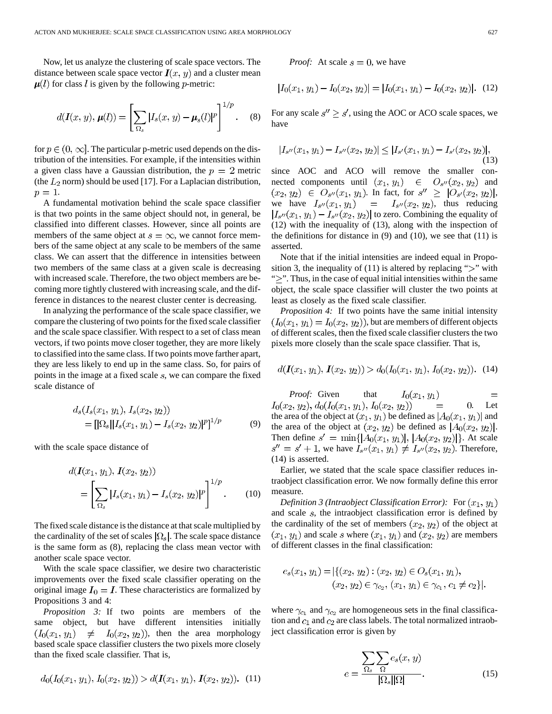Now, let us analyze the clustering of scale space vectors. The distance between scale space vector  $I(x, y)$  and a cluster mean  $\mu(l)$  for class l is given by the following p-metric:

$$
d(\mathbf{I}(x, y), \boldsymbol{\mu}(l)) = \left[\sum_{\Omega_s} |I_s(x, y) - \boldsymbol{\mu}_s(l)|^p\right]^{1/p}.
$$
 (8)

for  $p \in (0, \infty]$ . The particular p-metric used depends on the distribution of the intensities. For example, if the intensities within a given class have a Gaussian distribution, the  $p = 2$  metric (the  $L_2$  norm) should be used [17]. For a Laplacian distribution,  $p=1$ .

A fundamental motivation behind the scale space classifier is that two points in the same object should not, in general, be classified into different classes. However, since all points are members of the same object at  $s = \infty$ , we cannot force members of the same object at any scale to be members of the same class. We can assert that the difference in intensities between two members of the same class at a given scale is decreasing with increased scale. Therefore, the two object members are becoming more tightly clustered with increasing scale, and the difference in distances to the nearest cluster center is decreasing.

In analyzing the performance of the scale space classifier, we compare the clustering of two points for the fixed scale classifier and the scale space classifier. With respect to a set of class mean vectors, if two points move closer together, they are more likely to classified into the same class. If two points move farther apart, they are less likely to end up in the same class. So, for pairs of points in the image at a fixed scale  $s$ , we can compare the fixed scale distance of

$$
d_s(I_s(x_1, y_1), I_s(x_2, y_2))
$$
  
= 
$$
[|\Omega_s||I_s(x_1, y_1) - I_s(x_2, y_2)|^p]^{1/p}
$$
 (9)

with the scale space distance of

$$
d(I(x_1, y_1), I(x_2, y_2))
$$
  
= 
$$
\left[\sum_{\Omega_s} |I_s(x_1, y_1) - I_s(x_2, y_2)|^p\right]^{1/p}.
$$
 (10)

The fixed scale distance is the distance at that scale multiplied by the cardinality of the set of scales  $|\Omega_s|$ . The scale space distance is the same form as (8), replacing the class mean vector with another scale space vector.

With the scale space classifier, we desire two characteristic improvements over the fixed scale classifier operating on the original image  $I_0 = I$ . These characteristics are formalized by Propositions 3 and 4:

*Proposition 3:* If two points are members of the same object, but have different intensities initially  $(I_0(x_1, y_1) \neq I_0(x_2, y_2))$ , then the area morphology based scale space classifier clusters the two pixels more closely than the fixed scale classifier. That is,

$$
d_0(I_0(x_1, y_1), I_0(x_2, y_2)) > d(I(x_1, y_1), I(x_2, y_2)). \quad (11)
$$

*Proof:* At scale  $s = 0$ , we have

$$
|I_0(x_1, y_1) - I_0(x_2, y_2)| = |I_0(x_1, y_1) - I_0(x_2, y_2)|. (12)
$$

For any scale  $s'' \geq s'$ , using the AOC or ACO scale spaces, we have

$$
|I_{s''}(x_1, y_1) - I_{s''}(x_2, y_2)| \le |I_{s'}(x_1, y_1) - I_{s'}(x_2, y_2)|,
$$
\n(13)

since AOC and ACO will remove the smaller connected components until  $(x_1, y_1) \in O_{s''}(x_2, y_2)$  and  $(x_2, y_2) \in O_{s''}(x_1, y_1)$ . In fact, for  $s'' \geq |O_{s'}(x_2, y_2)|$ , we have  $I_{s''}(x_1, y_1) = I_{s''}(x_2, y_2)$ , thus reducing  $|I_{s''}(x_1, y_1) - I_{s''}(x_2, y_2)|$  to zero. Combining the equality of (12) with the inequality of (13), along with the inspection of the definitions for distance in  $(9)$  and  $(10)$ , we see that  $(11)$  is asserted.

Note that if the initial intensities are indeed equal in Proposition 3, the inequality of  $(11)$  is altered by replacing " $>$ " with " $\ge$ ". Thus, in the case of equal initial intensities within the same object, the scale space classifier will cluster the two points at least as closely as the fixed scale classifier.

*Proposition 4:* If two points have the same initial intensity  $(I_0(x_1, y_1) = I_0(x_2, y_2))$ , but are members of different objects of different scales, then the fixed scale classifier clusters the two pixels more closely than the scale space classifier. That is,

$$
d(I(x_1, y_1), I(x_2, y_2)) > d_0(I_0(x_1, y_1), I_0(x_2, y_2)). \tag{14}
$$

 $I_0(x_1, y_1)$ *Proof:* Given that  $I_0(x_2, y_2), d_0(I_0(x_1, y_1), I_0(x_2, y_2))$ . Let the area of the object at  $(x_1, y_1)$  be defined as  $A_0(x_1, y_1)$  and the area of the object at  $(x_2, y_2)$  be defined as  $|A_0(x_2, y_2)|$ . Then define  $s' = \min\{|A_0(x_1, y_1)|, |A_0(x_2, y_2)|\}$ . At scale  $s'' = s' + 1$ , we have  $I_{s''}(x_1, y_1) \neq I_{s''}(x_2, y_2)$ . Therefore, (14) is asserted.

Earlier, we stated that the scale space classifier reduces intraobject classification error. We now formally define this error measure.

*Definition 3 (Intraobject Classification Error):* For  $(x_1, y_1)$ and scale  $s$ , the intraobject classification error is defined by the cardinality of the set of members  $(x_2, y_2)$  of the object at  $(x_1, y_1)$  and scale s where  $(x_1, y_1)$  and  $(x_2, y_2)$  are members of different classes in the final classification:

$$
e_s(x_1, y_1) = |\{(x_2, y_2) : (x_2, y_2) \in O_s(x_1, y_1),(x_2, y_2) \in \gamma_{c_2}, (x_1, y_1) \in \gamma_{c_1}, c_1 \neq c_2\}|.
$$

where  $\gamma_{c_1}$  and  $\gamma_{c_2}$  are homogeneous sets in the final classification and  $c_1$  and  $c_2$  are class labels. The total normalized intraobject classification error is given by

$$
e = \frac{\sum_{\Omega_s} \sum_{\Omega} e_s(x, y)}{|\Omega_s||\Omega|}.
$$
 (15)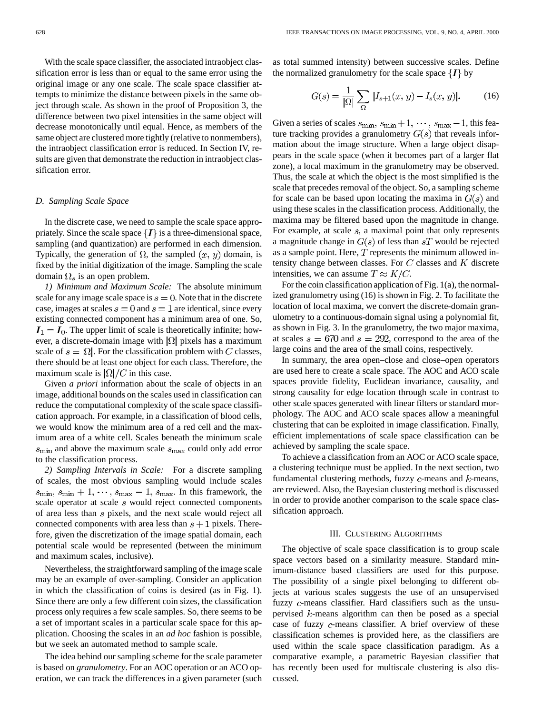With the scale space classifier, the associated intraobject classification error is less than or equal to the same error using the original image or any one scale. The scale space classifier attempts to minimize the distance between pixels in the same object through scale. As shown in the proof of Proposition 3, the difference between two pixel intensities in the same object will decrease monotonically until equal. Hence, as members of the same object are clustered more tightly (relative to nonmembers), the intraobject classification error is reduced. In Section IV, results are given that demonstrate the reduction in intraobject classification error.

#### *D. Sampling Scale Space*

In the discrete case, we need to sample the scale space appropriately. Since the scale space  $\{I\}$  is a three-dimensional space, sampling (and quantization) are performed in each dimension. Typically, the generation of  $\Omega$ , the sampled  $(x, y)$  domain, is fixed by the initial digitization of the image. Sampling the scale domain  $\Omega_s$  is an open problem.

*1) Minimum and Maximum Scale:* The absolute minimum scale for any image scale space is  $s = 0$ . Note that in the discrete case, images at scales  $s = 0$  and  $s = 1$  are identical, since every existing connected component has a minimum area of one. So,  $I_1 = I_0$ . The upper limit of scale is theoretically infinite; however, a discrete-domain image with  $|\Omega|$  pixels has a maximum scale of  $s = |\Omega|$ . For the classification problem with C classes, there should be at least one object for each class. Therefore, the maximum scale is  $|\Omega|/C$  in this case.

Given *a priori* information about the scale of objects in an image, additional bounds on the scales used in classification can reduce the computational complexity of the scale space classification approach. For example, in a classification of blood cells, we would know the minimum area of a red cell and the maximum area of a white cell. Scales beneath the minimum scale  $s_{\text{min}}$  and above the maximum scale  $s_{\text{max}}$  could only add error to the classification process.

*2) Sampling Intervals in Scale:* For a discrete sampling of scales, the most obvious sampling would include scales  $s_{\min}, s_{\min} + 1, \cdots, s_{\max} - 1, s_{\max}$ . In this framework, the scale operator at scale  $s$  would reject connected components of area less than  $s$  pixels, and the next scale would reject all connected components with area less than  $s + 1$  pixels. Therefore, given the discretization of the image spatial domain, each potential scale would be represented (between the minimum and maximum scales, inclusive).

Nevertheless, the straightforward sampling of the image scale may be an example of over-sampling. Consider an application in which the classification of coins is desired (as in Fig. 1). Since there are only a few different coin sizes, the classification process only requires a few scale samples. So, there seems to be a set of important scales in a particular scale space for this application. Choosing the scales in an *ad hoc* fashion is possible, but we seek an automated method to sample scale.

The idea behind our sampling scheme for the scale parameter is based on *granulometry*. For an AOC operation or an ACO operation, we can track the differences in a given parameter (such as total summed intensity) between successive scales. Define the normalized granulometry for the scale space  $\{I\}$  by

$$
G(s) = \frac{1}{|\Omega|} \sum_{\Omega} |I_{s+1}(x, y) - I_s(x, y)|.
$$
 (16)

Given a series of scales  $s_{\min},\ s_{\min}+1,\,\cdots,\,s_{\max}-1,$  this feature tracking provides a granulometry  $G(s)$  that reveals information about the image structure. When a large object disappears in the scale space (when it becomes part of a larger flat zone), a local maximum in the granulometry may be observed. Thus, the scale at which the object is the most simplified is the scale that precedes removal of the object. So, a sampling scheme for scale can be based upon locating the maxima in  $G(s)$  and using these scales in the classification process. Additionally, the maxima may be filtered based upon the magnitude in change. For example, at scale  $s$ , a maximal point that only represents a magnitude change in  $G(s)$  of less than  $sT$  would be rejected as a sample point. Here,  $T$  represents the minimum allowed intensity change between classes. For  $C$  classes and  $K$  discrete intensities, we can assume  $T \approx K/C$ .

For the coin classification application of Fig. 1(a), the normalized granulometry using (16) is shown in Fig. 2. To facilitate the location of local maxima, we convert the discrete-domain granulometry to a continuous-domain signal using a polynomial fit, as shown in Fig. 3. In the granulometry, the two major maxima, at scales  $s = 670$  and  $s = 292$ , correspond to the area of the large coins and the area of the small coins, respectively.

In summary, the area open–close and close–open operators are used here to create a scale space. The AOC and ACO scale spaces provide fidelity, Euclidean invariance, causality, and strong causality for edge location through scale in contrast to other scale spaces generated with linear filters or standard morphology. The AOC and ACO scale spaces allow a meaningful clustering that can be exploited in image classification. Finally, efficient implementations of scale space classification can be achieved by sampling the scale space.

To achieve a classification from an AOC or ACO scale space, a clustering technique must be applied. In the next section, two fundamental clustering methods, fuzzy  $c$ -means and  $k$ -means, are reviewed. Also, the Bayesian clustering method is discussed in order to provide another comparison to the scale space classification approach.

### III. CLUSTERING ALGORITHMS

The objective of scale space classification is to group scale space vectors based on a similarity measure. Standard minimum-distance based classifiers are used for this purpose. The possibility of a single pixel belonging to different objects at various scales suggests the use of an unsupervised fuzzy  $c$ -means classifier. Hard classifiers such as the unsupervised  $k$ -means algorithm can then be posed as a special case of fuzzy  $c$ -means classifier. A brief overview of these classification schemes is provided here, as the classifiers are used within the scale space classification paradigm. As a comparative example, a parametric Bayesian classifier that has recently been used for multiscale clustering is also discussed.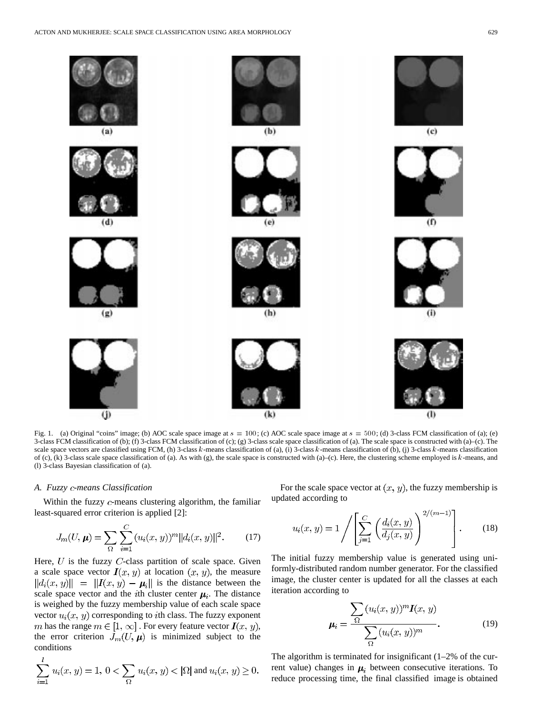

Fig. 1. (a) Original "coins" image; (b) AOC scale space image at  $s = 100$ ; (c) AOC scale space image at  $s = 500$ ; (d) 3-class FCM classification of (a); (e) 3-class FCM classification of (b); (f) 3-class FCM classification of (c); (g) 3-class scale space classification of (a). The scale space is constructed with (a)–(c). The scale space vectors are classified using FCM, (h) 3-class k-means classification of (a), (i) 3-class k-means classification of (b), (j) 3-class k-means classification of (c), (k) 3-class scale space classification of (a). As with (g), the scale space is constructed with (a)–(c). Here, the clustering scheme employed is  $k$ -means, and (l) 3-class Bayesian classification of (a).

#### *A. Fuzzy -means Classification*

Within the fuzzy  $c$ -means clustering algorithm, the familiar least-squared error criterion is applied [2]:

 $\sim$ 

$$
J_m(U, \mu) = \sum_{\Omega} \sum_{i=1}^{C} (u_i(x, y))^m ||d_i(x, y)||^2.
$$
 (17)

Here,  $U$  is the fuzzy  $C$ -class partition of scale space. Given a scale space vector  $I(x, y)$  at location  $(x, y)$ , the measure  $||d_i(x, y)|| = ||\mathbf{I}(x, y) - \boldsymbol{\mu}_i||$  is the distance between the scale space vector and the *i*th cluster center  $\mu_i$ . The distance is weighed by the fuzzy membership value of each scale space vector  $u_i(x, y)$  corresponding to *i*th class. The fuzzy exponent m has the range  $m \in [1, \infty]$ . For every feature vector  $I(x, y)$ , the error criterion  $J_m(U, \mu)$  is minimized subject to the conditions

$$
\sum_{i=1}^{l} u_i(x, y) = 1, \ 0 < \sum_{\Omega} u_i(x, y) < |\Omega| \text{ and } u_i(x, y) \ge 0.
$$

For the scale space vector at  $(x, y)$ , the fuzzy membership is updated according to

$$
u_i(x, y) = 1 \left/ \left[ \sum_{j=1}^{C} \left( \frac{d_i(x, y)}{d_j(x, y)} \right)^{2/(m-1)} \right].
$$
 (18)

The initial fuzzy membership value is generated using uniformly-distributed random number generator. For the classified image, the cluster center is updated for all the classes at each iteration according to

$$
\mu_i = \frac{\sum_{\Omega} (u_i(x, y))^m I(x, y)}{\sum_{\Omega} (u_i(x, y))^m}.
$$
 (19)

The algorithm is terminated for insignificant (1–2% of the current value) changes in  $\mu_i$  between consecutive iterations. To reduce processing time, the final classified image is obtained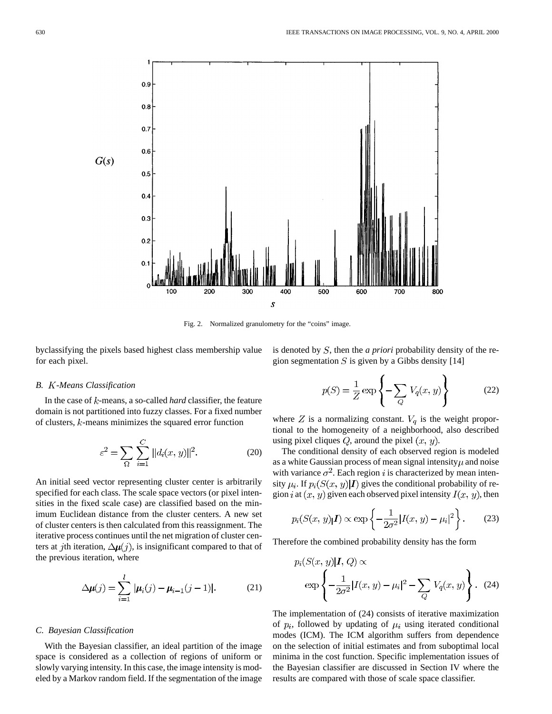

Fig. 2. Normalized granulometry for the "coins" image.

byclassifying the pixels based highest class membership value for each pixel.

is denoted by S, then the *a priori* probability density of the region segmentation  $S$  is given by a Gibbs density [14]

# *B. -Means Classification*

In the case of k-means, a so-called *hard* classifier, the feature domain is not partitioned into fuzzy classes. For a fixed number of clusters,  $k$ -means minimizes the squared error function

$$
\varepsilon^{2} = \sum_{\Omega} \sum_{i=1}^{C} ||d_{i}(x, y)||^{2}.
$$
 (20)

An initial seed vector representing cluster center is arbitrarily specified for each class. The scale space vectors (or pixel intensities in the fixed scale case) are classified based on the minimum Euclidean distance from the cluster centers. A new set of cluster centers is then calculated from this reassignment. The iterative process continues until the net migration of cluster centers at *j*th iteration,  $\Delta \mu(j)$ , is insignificant compared to that of the previous iteration, where

$$
\Delta \mu(j) = \sum_{i=1}^{l} |\mu_i(j) - \mu_{i-1}(j-1)|.
$$
 (21)

# *C. Bayesian Classification*

With the Bayesian classifier, an ideal partition of the image space is considered as a collection of regions of uniform or slowly varying intensity. In this case, the image intensity is modeled by a Markov random field. If the segmentation of the image

$$
p(S) = \frac{1}{Z} \exp\left\{-\sum_{Q} V_q(x, y)\right\}
$$
 (22)

where Z is a normalizing constant.  $V_q$  is the weight proportional to the homogeneity of a neighborhood, also described using pixel cliques  $Q$ , around the pixel  $(x, y)$ .

The conditional density of each observed region is modeled as a white Gaussian process of mean signal intensity  $\mu$  and noise with variance  $\sigma^2$ . Each region i is characterized by mean intensity  $\mu_i$ . If  $p_i(S(x, y)|I)$  gives the conditional probability of region i at  $(x, y)$  given each observed pixel intensity  $I(x, y)$ , then

$$
p_i(S(x, y)|\mathbf{I}) \propto \exp\left\{-\frac{1}{2\sigma^2}|I(x, y) - \mu_i|^2\right\}.
$$
 (23)

Therefore the combined probability density has the form

$$
p_i(S(x, y)|I, Q) \propto
$$
  
\n
$$
\exp\left\{-\frac{1}{2\sigma^2}|I(x, y) - \mu_i|^2 - \sum_{Q} V_q(x, y)\right\}.
$$
 (24)

The implementation of (24) consists of iterative maximization of  $p_i$ , followed by updating of  $\mu_i$  using iterated conditional modes (ICM). The ICM algorithm suffers from dependence on the selection of initial estimates and from suboptimal local minima in the cost function. Specific implementation issues of the Bayesian classifier are discussed in Section IV where the results are compared with those of scale space classifier.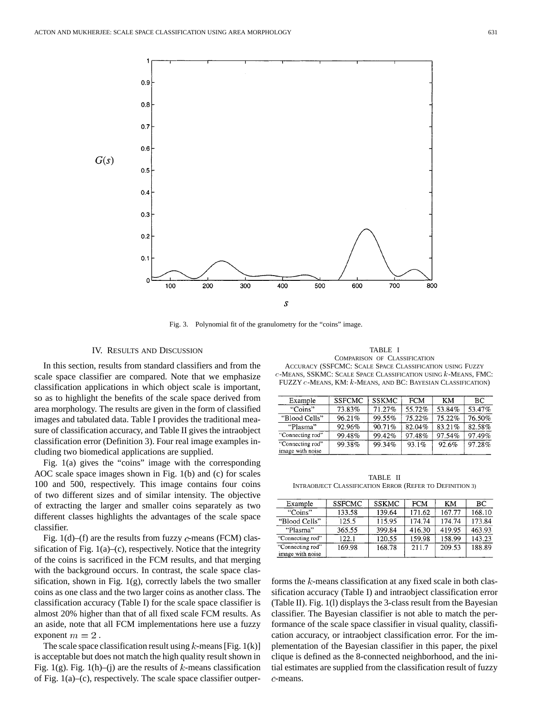

Fig. 3. Polynomial fit of the granulometry for the "coins" image.

#### IV. RESULTS AND DISCUSSION

In this section, results from standard classifiers and from the scale space classifier are compared. Note that we emphasize classification applications in which object scale is important, so as to highlight the benefits of the scale space derived from area morphology. The results are given in the form of classified images and tabulated data. Table I provides the traditional measure of classification accuracy, and Table II gives the intraobject classification error (Definition 3). Four real image examples including two biomedical applications are supplied.

Fig. 1(a) gives the "coins" image with the corresponding AOC scale space images shown in Fig. 1(b) and (c) for scales 100 and 500, respectively. This image contains four coins of two different sizes and of similar intensity. The objective of extracting the larger and smaller coins separately as two different classes highlights the advantages of the scale space classifier.

Fig. 1(d)–(f) are the results from fuzzy  $c$ -means (FCM) classification of Fig.  $1(a)$ –(c), respectively. Notice that the integrity of the coins is sacrificed in the FCM results, and that merging with the background occurs. In contrast, the scale space classification, shown in Fig. 1(g), correctly labels the two smaller coins as one class and the two larger coins as another class. The classification accuracy (Table I) for the scale space classifier is almost 20% higher than that of all fixed scale FCM results. As an aside, note that all FCM implementations here use a fuzzy exponent  $m = 2$ .

The scale space classification result using  $k$ -means [Fig. 1(k)] is acceptable but does not match the high quality result shown in Fig. 1(g). Fig. 1(h)–(j) are the results of  $k$ -means classification of Fig. 1(a)–(c), respectively. The scale space classifier outper-

TABLE I COMPARISON OF CLASSIFICATION ACCURACY (SSFCMC: SCALE SPACE CLASSIFICATION USING FUZZY c-MEANS, SSKMC: SCALE SPACE CLASSIFICATION USING k-MEANS, FMC: FUZZY c-MEANS, KM: k-MEANS, AND BC: BAYESIAN CLASSIFICATION)

| Example                              | <b>SSFCMC</b> | <b>SSKMC</b> | <b>FCM</b> | KM     | BC     |
|--------------------------------------|---------------|--------------|------------|--------|--------|
| "Coins"                              | 73.83%        | 71.27%       | 55.72%     | 53.84% | 53.47% |
| "Blood Cells"                        | 96.21%        | 99.55%       | 75.22%     | 75.22% | 76.50% |
| "Plasma"                             | 92.96%        | 90.71%       | 82.04%     | 83.21% | 82.58% |
| "Connecting rod"                     | 99.48%        | 99.42%       | 97.48%     | 97.54% | 97.49% |
| "Connecting rod"<br>image with noise | 99.38%        | 99.34%       | 93.1%      | 92.6%  | 97.28% |

TABLE II INTRAOBJECT CLASSIFICATION ERROR (REFER TO DEFINITION 3)

| Example                              | <b>SSFCMC</b> | <b>SSKMC</b> | <b>FCM</b> | KM     | BC     |
|--------------------------------------|---------------|--------------|------------|--------|--------|
| "Coins"                              | 133.58        | 139.64       | 171.62     | 167.77 | 168.10 |
| "Blood Cells"                        | 125.5         | 115.95       | 174.74     | 174.74 | 173.84 |
| "Plasma"                             | 365.55        | 399.84       | 416.30     | 419.95 | 463.93 |
| "Connecting rod"                     | 122.1         | 120.55       | 159.98     | 158.99 | 143.23 |
| "Connecting rod"<br>image with noise | 169.98        | 168.78       | 211.7      | 209.53 | 188.89 |

forms the  $k$ -means classification at any fixed scale in both classification accuracy (Table I) and intraobject classification error (Table II). Fig. 1(l) displays the 3-class result from the Bayesian classifier. The Bayesian classifier is not able to match the performance of the scale space classifier in visual quality, classification accuracy, or intraobject classification error. For the implementation of the Bayesian classifier in this paper, the pixel clique is defined as the 8-connected neighborhood, and the initial estimates are supplied from the classification result of fuzzy -means.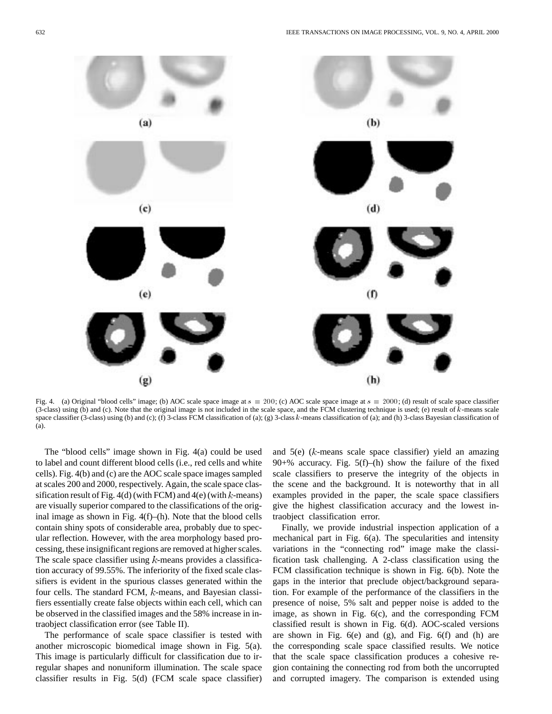

Fig. 4. (a) Original "blood cells" image; (b) AOC scale space image at  $s = 200$ ; (c) AOC scale space image at  $s = 2000$ ; (d) result of scale space classifier (3-class) using (b) and (c). Note that the original image is not included in the scale space, and the FCM clustering technique is used; (e) result of  $k$ -means scale space classifier (3-class) using (b) and (c); (f) 3-class FCM classification of (a); (g) 3-class k-means classification of (a); and (h) 3-class Bayesian classification of (a).

The "blood cells" image shown in Fig. 4(a) could be used to label and count different blood cells (i.e., red cells and white cells). Fig. 4(b) and (c) are the AOC scale space images sampled at scales 200 and 2000, respectively. Again, the scale space classification result of Fig. 4(d) (with FCM) and 4(e) (with  $k$ -means) are visually superior compared to the classifications of the original image as shown in Fig. 4(f)–(h). Note that the blood cells contain shiny spots of considerable area, probably due to specular reflection. However, with the area morphology based processing, these insignificant regions are removed at higher scales. The scale space classifier using  $k$ -means provides a classification accuracy of 99.55%. The inferiority of the fixed scale classifiers is evident in the spurious classes generated within the four cells. The standard FCM,  $k$ -means, and Bayesian classifiers essentially create false objects within each cell, which can be observed in the classified images and the 58% increase in intraobject classification error (see Table II).

The performance of scale space classifier is tested with another microscopic biomedical image shown in Fig. 5(a). This image is particularly difficult for classification due to irregular shapes and nonuniform illumination. The scale space classifier results in Fig. 5(d) (FCM scale space classifier) and  $5(e)$  ( $k$ -means scale space classifier) yield an amazing  $90+%$  accuracy. Fig. 5(f)–(h) show the failure of the fixed scale classifiers to preserve the integrity of the objects in the scene and the background. It is noteworthy that in all examples provided in the paper, the scale space classifiers give the highest classification accuracy and the lowest intraobject classification error.

Finally, we provide industrial inspection application of a mechanical part in Fig. 6(a). The specularities and intensity variations in the "connecting rod" image make the classification task challenging. A 2-class classification using the FCM classification technique is shown in Fig. 6(b). Note the gaps in the interior that preclude object/background separation. For example of the performance of the classifiers in the presence of noise, 5% salt and pepper noise is added to the image, as shown in Fig. 6(c), and the corresponding FCM classified result is shown in Fig. 6(d). AOC-scaled versions are shown in Fig.  $6(e)$  and  $(g)$ , and Fig.  $6(f)$  and  $(h)$  are the corresponding scale space classified results. We notice that the scale space classification produces a cohesive region containing the connecting rod from both the uncorrupted and corrupted imagery. The comparison is extended using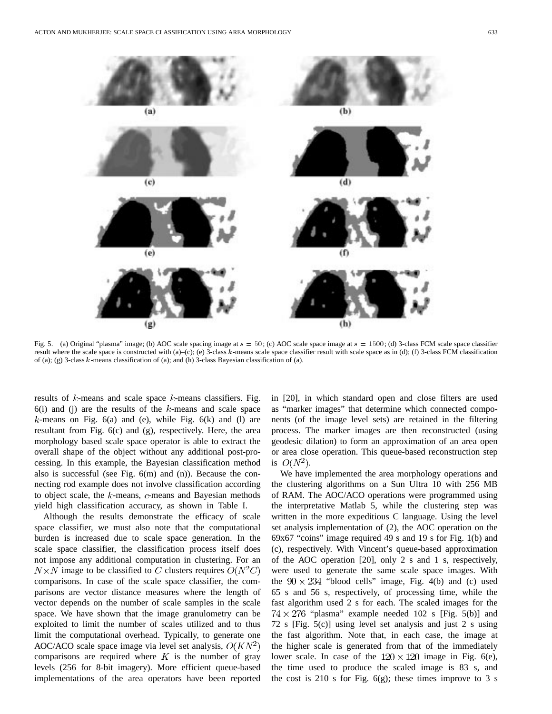

Fig. 5. (a) Original "plasma" image; (b) AOC scale spacing image at  $s = 50$ ; (c) AOC scale space image at  $s = 1500$ ; (d) 3-class FCM scale space classifier result where the scale space is constructed with (a)–(c); (e) 3-class k-means scale space classifier result with scale space as in (d); (f) 3-class FCM classification of (a); (g) 3-class k-means classification of (a); and (h) 3-class Bayesian classification of (a).

results of  $k$ -means and scale space  $k$ -means classifiers. Fig.  $6(i)$  and (i) are the results of the k-means and scale space  $k$ -means on Fig. 6(a) and (e), while Fig. 6(k) and (l) are resultant from Fig. 6(c) and (g), respectively. Here, the area morphology based scale space operator is able to extract the overall shape of the object without any additional post-processing. In this example, the Bayesian classification method also is successful (see Fig. 6(m) and (n)). Because the connecting rod example does not involve classification according to object scale, the  $k$ -means,  $c$ -means and Bayesian methods yield high classification accuracy, as shown in Table I.

Although the results demonstrate the efficacy of scale space classifier, we must also note that the computational burden is increased due to scale space generation. In the scale space classifier, the classification process itself does not impose any additional computation in clustering. For an  $N \times N$  image to be classified to C clusters requires  $O(N^2C)$ comparisons. In case of the scale space classifier, the comparisons are vector distance measures where the length of vector depends on the number of scale samples in the scale space. We have shown that the image granulometry can be exploited to limit the number of scales utilized and to thus limit the computational overhead. Typically, to generate one AOC/ACO scale space image via level set analysis,  $O(KN^2)$ comparisons are required where  $K$  is the number of gray levels (256 for 8-bit imagery). More efficient queue-based implementations of the area operators have been reported in [20], in which standard open and close filters are used as "marker images" that determine which connected components (of the image level sets) are retained in the filtering process. The marker images are then reconstructed (using geodesic dilation) to form an approximation of an area open or area close operation. This queue-based reconstruction step is  $O(N^2)$ .

We have implemented the area morphology operations and the clustering algorithms on a Sun Ultra 10 with 256 MB of RAM. The AOC/ACO operations were programmed using the interpretative Matlab 5, while the clustering step was written in the more expeditious C language. Using the level set analysis implementation of (2), the AOC operation on the 69x67 "coins" image required 49 s and 19 s for Fig. 1(b) and (c), respectively. With Vincent's queue-based approximation of the AOC operation [20], only 2 s and 1 s, respectively, were used to generate the same scale space images. With the  $90 \times 234$  "blood cells" image, Fig. 4(b) and (c) used 65 s and 56 s, respectively, of processing time, while the fast algorithm used 2 s for each. The scaled images for the  $74 \times 276$  "plasma" example needed 102 s [Fig. 5(b)] and 72 s [Fig. 5(c)] using level set analysis and just 2 s using the fast algorithm. Note that, in each case, the image at the higher scale is generated from that of the immediately lower scale. In case of the  $120 \times 120$  image in Fig. 6(e), the time used to produce the scaled image is 83 s, and the cost is  $210$  s for Fig.  $6(g)$ ; these times improve to 3 s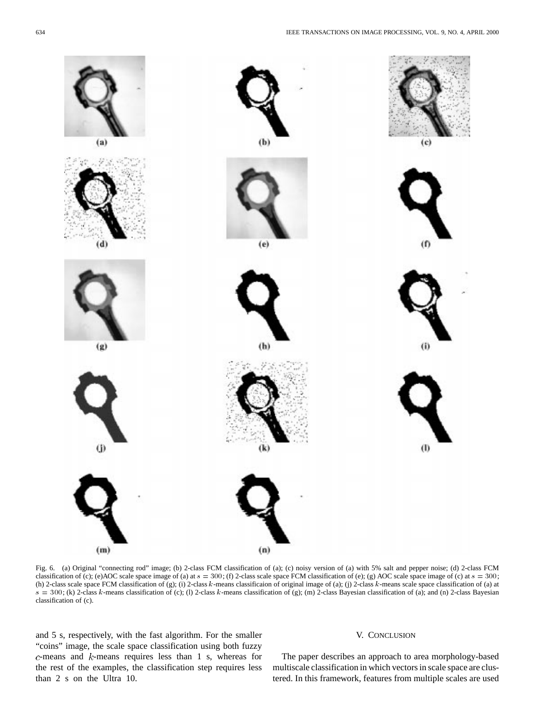

Fig. 6. (a) Original "connecting rod" image; (b) 2-class FCM classification of (a); (c) noisy version of (a) with 5% salt and pepper noise; (d) 2-class FCM classification of (c); (e)AOC scale space image of (a) at  $s = 300$ ; (f) 2-class scale space FCM classification of (e); (g) AOC scale space image of (c) at  $s = 300$ ; (h) 2-class scale space FCM classification of (g); (i) 2-class k-means classification of original image of (a); (j) 2-class k-means scale space classification of (a) at  $s = 300$ ; (k) 2-class k-means classification of (c); (l) 2-class k-means classification of (g); (m) 2-class Bayesian classification of (a); and (n) 2-class Bayesian classification of (c).

and 5 s, respectively, with the fast algorithm. For the smaller "coins" image, the scale space classification using both fuzzy  $c$ -means and  $k$ -means requires less than 1 s, whereas for the rest of the examples, the classification step requires less than 2 s on the Ultra 10.

#### V. CONCLUSION

The paper describes an approach to area morphology-based multiscale classification in which vectors in scale space are clustered. In this framework, features from multiple scales are used